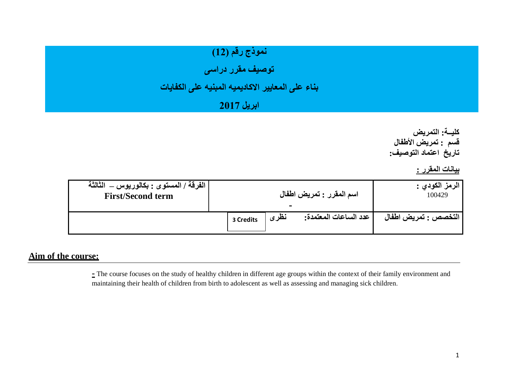# نموذج رقم (12)

**توصيف مقرر دراسى** 

#### **بناء على المعايير االكاديميه المبنيه على الكفايات**

### **ابريل 2017**

**كليــة: التمريض قسم : تمريض األطفال تاريخ اعتماد التوصيف:**

**بيانات المقرر :** 

| الفرقة / المستوى : بكالوريوس _ الثالثة |           | اسم المقرر : تمريض اطفال | الرمز الكودي :        |                        |
|----------------------------------------|-----------|--------------------------|-----------------------|------------------------|
| <b>First/Second term</b>               |           | -                        | 100429                |                        |
|                                        | 3 Credits | نظرى                     | عدد الساعات المعتمدة: | ا التخصص : تمريض اطفال |

#### **Aim of the course:**

**-** The course focuses on the study of healthy children in different age groups within the context of their family environment and maintaining their health of children from birth to adolescent as well as assessing and managing sick children.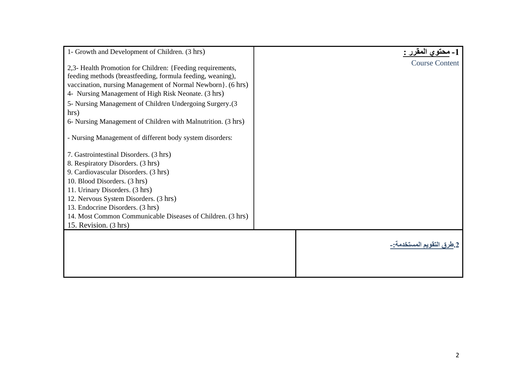| 1- Growth and Development of Children. (3 hrs)               | 1 ـ محتو ي المقرر -:      |
|--------------------------------------------------------------|---------------------------|
| 2,3- Health Promotion for Children: {Feeding requirements,   | <b>Course Content</b>     |
| feeding methods (breastfeeding, formula feeding, weaning),   |                           |
| vaccination, nursing Management of Normal Newborn}. (6 hrs)  |                           |
| 4- Nursing Management of High Risk Neonate. (3 hrs)          |                           |
| 5- Nursing Management of Children Undergoing Surgery.(3      |                           |
| hrs)                                                         |                           |
| 6- Nursing Management of Children with Malnutrition. (3 hrs) |                           |
| - Nursing Management of different body system disorders:     |                           |
|                                                              |                           |
| 7. Gastrointestinal Disorders. (3 hrs)                       |                           |
| 8. Respiratory Disorders. (3 hrs)                            |                           |
| 9. Cardiovascular Disorders. (3 hrs)                         |                           |
| 10. Blood Disorders. (3 hrs)                                 |                           |
| 11. Urinary Disorders. (3 hrs)                               |                           |
| 12. Nervous System Disorders. (3 hrs)                        |                           |
| 13. Endocrine Disorders. (3 hrs)                             |                           |
| 14. Most Common Communicable Diseases of Children. (3 hrs)   |                           |
| 15. Revision. (3 hrs)                                        |                           |
|                                                              |                           |
|                                                              | 2.طرق التقويم المستخدمة:- |
|                                                              |                           |
|                                                              |                           |
|                                                              |                           |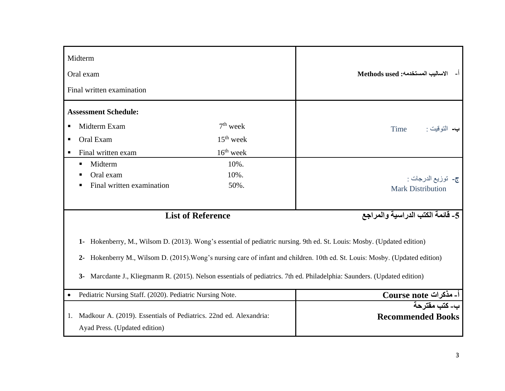| Midterm<br>Oral exam<br>Final written examination                                                                                                                                                                                                                                                                                                                                                                                                                    |                                          | الاساليب المستخدمه: Methods used                                   |  |  |  |
|----------------------------------------------------------------------------------------------------------------------------------------------------------------------------------------------------------------------------------------------------------------------------------------------------------------------------------------------------------------------------------------------------------------------------------------------------------------------|------------------------------------------|--------------------------------------------------------------------|--|--|--|
| <b>Assessment Schedule:</b><br>Midterm Exam<br>ш<br>Oral Exam<br>٠<br>Final written exam<br>п                                                                                                                                                                                                                                                                                                                                                                        | $7th$ week<br>$15th$ week<br>$16th$ week | Time                                                               |  |  |  |
| Midterm<br>٠<br>Oral exam<br>Final written examination<br>٠                                                                                                                                                                                                                                                                                                                                                                                                          | 10%.<br>10%.<br>50%.                     | ج- توزيع الدرجات :<br><b>Mark Distribution</b>                     |  |  |  |
| 5- قائمة الكتب الدراسية والمراجع<br><b>List of Reference</b><br>Hokenberry, M., Wilsom D. (2013). Wong's essential of pediatric nursing. 9th ed. St. Louis: Mosby. (Updated edition)<br>$1 -$<br>Hokenberry M., Wilsom D. (2015). Wong's nursing care of infant and children. 10th ed. St. Louis: Mosby. (Updated edition)<br>$2 -$<br>Marcdante J., Kliegmanm R. (2015). Nelson essentials of pediatrics. 7th ed. Philadelphia: Saunders. (Updated edition)<br>$3-$ |                                          |                                                                    |  |  |  |
| Pediatric Nursing Staff. (2020). Pediatric Nursing Note.<br>$\bullet$<br>Madkour A. (2019). Essentials of Pediatrics. 22nd ed. Alexandria:<br>1.                                                                                                                                                                                                                                                                                                                     |                                          | أـ مذكرات Course note<br>ب- كتب مقترحة<br><b>Recommended Books</b> |  |  |  |
| Ayad Press. (Updated edition)                                                                                                                                                                                                                                                                                                                                                                                                                                        |                                          |                                                                    |  |  |  |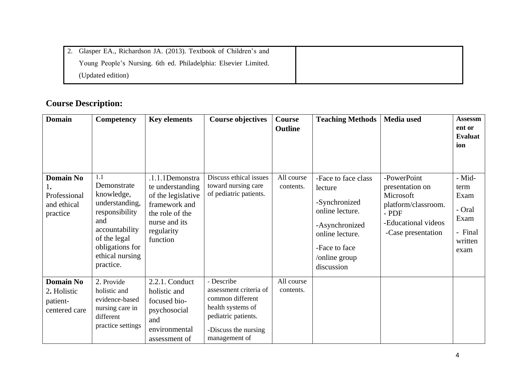| Glasper EA., Richardson JA. (2013). Textbook of Children's and  |  |
|-----------------------------------------------------------------|--|
| Young People's Nursing. 6th ed. Philadelphia: Elsevier Limited. |  |
| (Updated edition)                                               |  |

## **Course Description:**

| <b>Domain</b>                                                     | Competency                                                                                                                                                       | <b>Key elements</b>                                                                                                                      | <b>Course objectives</b>                                                                                                                      | Course<br><b>Outline</b> | <b>Teaching Methods</b>                                                                                                                                 | Media used                                                                                                                 | <b>Assessm</b><br>ent or<br><b>Evaluat</b><br>ion                      |
|-------------------------------------------------------------------|------------------------------------------------------------------------------------------------------------------------------------------------------------------|------------------------------------------------------------------------------------------------------------------------------------------|-----------------------------------------------------------------------------------------------------------------------------------------------|--------------------------|---------------------------------------------------------------------------------------------------------------------------------------------------------|----------------------------------------------------------------------------------------------------------------------------|------------------------------------------------------------------------|
| <b>Domain No</b><br>ı.<br>Professional<br>and ethical<br>practice | 1.1<br>Demonstrate<br>knowledge,<br>understanding,<br>responsibility<br>and<br>accountability<br>of the legal<br>obligations for<br>ethical nursing<br>practice. | .1.1.1Demonstra<br>te understanding<br>of the legislative<br>framework and<br>the role of the<br>nurse and its<br>regularity<br>function | Discuss ethical issues<br>toward nursing care<br>of pediatric patients.                                                                       | All course<br>contents.  | -Face to face class<br>lecture<br>-Synchronized<br>online lecture.<br>-Asynchronized<br>online lecture.<br>-Face to face<br>/online group<br>discussion | -PowerPoint<br>presentation on<br>Microsoft<br>platform/classroom.<br>$-$ PDF<br>-Educational videos<br>-Case presentation | - Mid-<br>term<br>Exam<br>- Oral<br>Exam<br>- Final<br>written<br>exam |
| <b>Domain No</b><br>2. Holistic<br>patient-<br>centered care      | 2. Provide<br>holistic and<br>evidence-based<br>nursing care in<br>different<br>practice settings                                                                | $2.2.1$ . Conduct<br>holistic and<br>focused bio-<br>psychosocial<br>and<br>environmental<br>assessment of                               | - Describe<br>assessment criteria of<br>common different<br>health systems of<br>pediatric patients.<br>-Discuss the nursing<br>management of | All course<br>contents.  |                                                                                                                                                         |                                                                                                                            |                                                                        |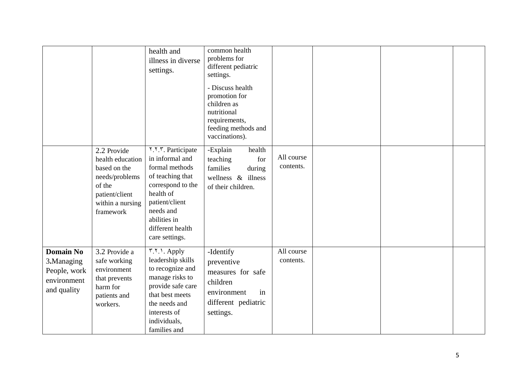|                                                                              |                                                                                                                                | health and<br>illness in diverse<br>settings.                                                                                                                                                    | common health<br>problems for<br>different pediatric<br>settings.<br>- Discuss health<br>promotion for<br>children as<br>nutritional<br>requirements,<br>feeding methods and<br>vaccinations). |                         |  |  |
|------------------------------------------------------------------------------|--------------------------------------------------------------------------------------------------------------------------------|--------------------------------------------------------------------------------------------------------------------------------------------------------------------------------------------------|------------------------------------------------------------------------------------------------------------------------------------------------------------------------------------------------|-------------------------|--|--|
|                                                                              | 2.2 Provide<br>health education<br>based on the<br>needs/problems<br>of the<br>patient/client<br>within a nursing<br>framework | ۲.۲. Participate<br>in informal and<br>formal methods<br>of teaching that<br>correspond to the<br>health of<br>patient/client<br>needs and<br>abilities in<br>different health<br>care settings. | -Explain<br>health<br>teaching<br>for<br>families<br>during<br>wellness $\&$ illness<br>of their children.                                                                                     | All course<br>contents. |  |  |
| <b>Domain No</b><br>3.Managing<br>People, work<br>environment<br>and quality | 3.2 Provide a<br>safe working<br>environment<br>that prevents<br>harm for<br>patients and<br>workers.                          | ۳.۲.۱. Apply<br>leadership skills<br>to recognize and<br>manage risks to<br>provide safe care<br>that best meets<br>the needs and<br>interests of<br>individuals,<br>families and                | -Identify<br>preventive<br>measures for safe<br>children<br>in<br>environment<br>different pediatric<br>settings.                                                                              | All course<br>contents. |  |  |